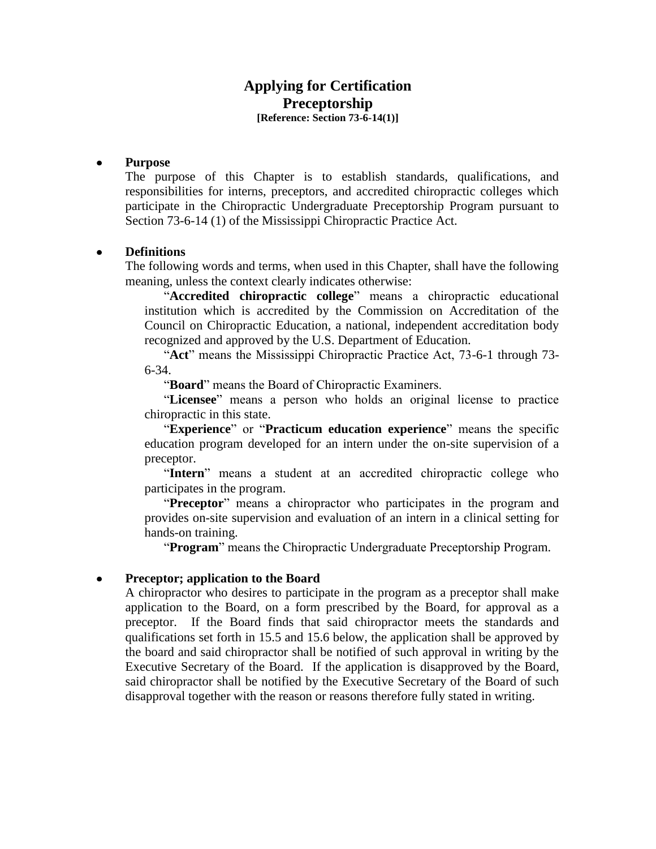# **Applying for Certification Preceptorship [Reference: Section 73-6-14(1)]**

### **Purpose**

The purpose of this Chapter is to establish standards, qualifications, and responsibilities for interns, preceptors, and accredited chiropractic colleges which participate in the Chiropractic Undergraduate Preceptorship Program pursuant to Section 73-6-14 (1) of the Mississippi Chiropractic Practice Act.

### **Definitions**

The following words and terms, when used in this Chapter, shall have the following meaning, unless the context clearly indicates otherwise:

"**Accredited chiropractic college**" means a chiropractic educational institution which is accredited by the Commission on Accreditation of the Council on Chiropractic Education, a national, independent accreditation body recognized and approved by the U.S. Department of Education.

"**Act**" means the Mississippi Chiropractic Practice Act, 73-6-1 through 73- 6-34.

"**Board**" means the Board of Chiropractic Examiners.

"**Licensee**" means a person who holds an original license to practice chiropractic in this state.

"**Experience**" or "**Practicum education experience**" means the specific education program developed for an intern under the on-site supervision of a preceptor.

"**Intern**" means a student at an accredited chiropractic college who participates in the program.

"**Preceptor**" means a chiropractor who participates in the program and provides on-site supervision and evaluation of an intern in a clinical setting for hands-on training.

"**Program**" means the Chiropractic Undergraduate Preceptorship Program.

### **Preceptor; application to the Board**

A chiropractor who desires to participate in the program as a preceptor shall make application to the Board, on a form prescribed by the Board, for approval as a preceptor. If the Board finds that said chiropractor meets the standards and qualifications set forth in 15.5 and 15.6 below, the application shall be approved by the board and said chiropractor shall be notified of such approval in writing by the Executive Secretary of the Board. If the application is disapproved by the Board, said chiropractor shall be notified by the Executive Secretary of the Board of such disapproval together with the reason or reasons therefore fully stated in writing.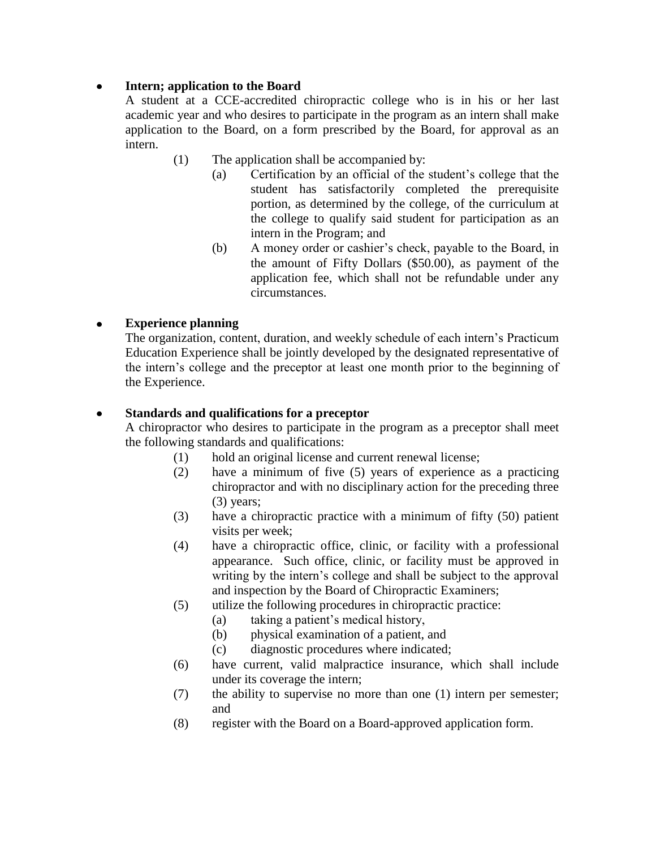#### **Intern; application to the Board**  $\bullet$

A student at a CCE-accredited chiropractic college who is in his or her last academic year and who desires to participate in the program as an intern shall make application to the Board, on a form prescribed by the Board, for approval as an intern.

- (1) The application shall be accompanied by:
	- (a) Certification by an official of the student's college that the student has satisfactorily completed the prerequisite portion, as determined by the college, of the curriculum at the college to qualify said student for participation as an intern in the Program; and
	- (b) A money order or cashier's check, payable to the Board, in the amount of Fifty Dollars (\$50.00), as payment of the application fee, which shall not be refundable under any circumstances.

#### **Experience planning**  $\bullet$

The organization, content, duration, and weekly schedule of each intern's Practicum Education Experience shall be jointly developed by the designated representative of the intern's college and the preceptor at least one month prior to the beginning of the Experience.

#### **Standards and qualifications for a preceptor**  $\bullet$

A chiropractor who desires to participate in the program as a preceptor shall meet the following standards and qualifications:

- (1) hold an original license and current renewal license;
- (2) have a minimum of five (5) years of experience as a practicing chiropractor and with no disciplinary action for the preceding three (3) years;
- (3) have a chiropractic practice with a minimum of fifty (50) patient visits per week;
- (4) have a chiropractic office, clinic, or facility with a professional appearance. Such office, clinic, or facility must be approved in writing by the intern's college and shall be subject to the approval and inspection by the Board of Chiropractic Examiners;
- (5) utilize the following procedures in chiropractic practice:
	- (a) taking a patient's medical history,
	- (b) physical examination of a patient, and
	- (c) diagnostic procedures where indicated;
- (6) have current, valid malpractice insurance, which shall include under its coverage the intern;
- (7) the ability to supervise no more than one (1) intern per semester; and
- (8) register with the Board on a Board-approved application form.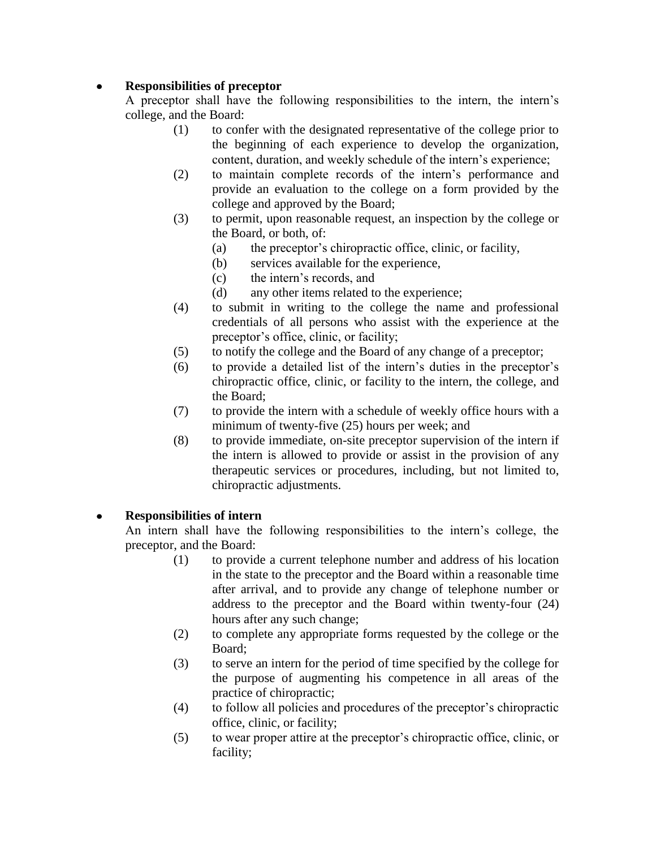#### **Responsibilities of preceptor**  $\bullet$

A preceptor shall have the following responsibilities to the intern, the intern's college, and the Board:

- (1) to confer with the designated representative of the college prior to the beginning of each experience to develop the organization, content, duration, and weekly schedule of the intern's experience;
- (2) to maintain complete records of the intern's performance and provide an evaluation to the college on a form provided by the college and approved by the Board;
- (3) to permit, upon reasonable request, an inspection by the college or the Board, or both, of:
	- (a) the preceptor's chiropractic office, clinic, or facility,
	- (b) services available for the experience,
	- (c) the intern's records, and
	- (d) any other items related to the experience;
- (4) to submit in writing to the college the name and professional credentials of all persons who assist with the experience at the preceptor's office, clinic, or facility;
- (5) to notify the college and the Board of any change of a preceptor;
- (6) to provide a detailed list of the intern's duties in the preceptor's chiropractic office, clinic, or facility to the intern, the college, and the Board;
- (7) to provide the intern with a schedule of weekly office hours with a minimum of twenty-five (25) hours per week; and
- (8) to provide immediate, on-site preceptor supervision of the intern if the intern is allowed to provide or assist in the provision of any therapeutic services or procedures, including, but not limited to, chiropractic adjustments.

#### **Responsibilities of intern**  $\bullet$

An intern shall have the following responsibilities to the intern's college, the preceptor, and the Board:

- (1) to provide a current telephone number and address of his location in the state to the preceptor and the Board within a reasonable time after arrival, and to provide any change of telephone number or address to the preceptor and the Board within twenty-four (24) hours after any such change;
- (2) to complete any appropriate forms requested by the college or the Board;
- (3) to serve an intern for the period of time specified by the college for the purpose of augmenting his competence in all areas of the practice of chiropractic;
- (4) to follow all policies and procedures of the preceptor's chiropractic office, clinic, or facility;
- (5) to wear proper attire at the preceptor's chiropractic office, clinic, or facility;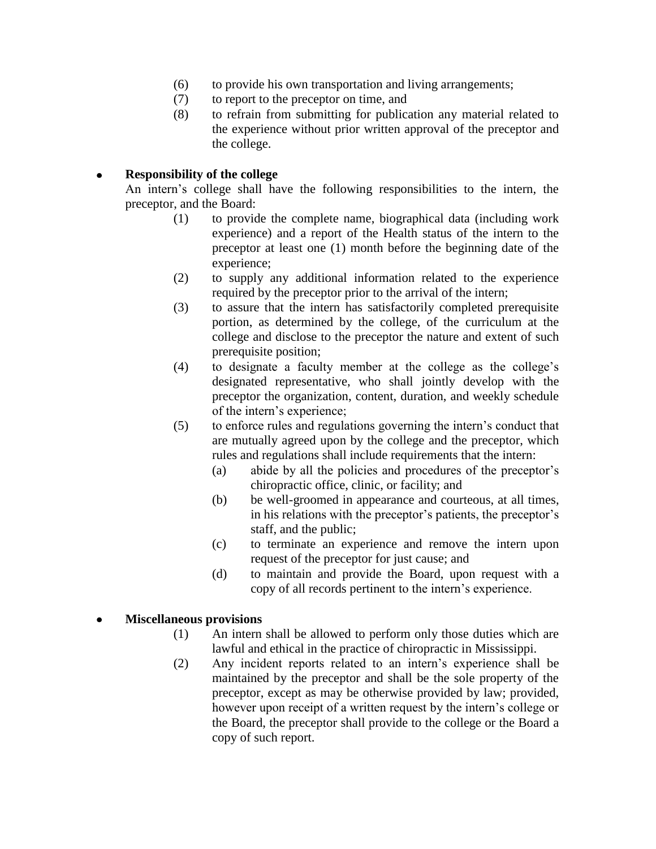- (6) to provide his own transportation and living arrangements;
- (7) to report to the preceptor on time, and
- (8) to refrain from submitting for publication any material related to the experience without prior written approval of the preceptor and the college.

#### **Responsibility of the college**  $\bullet$

An intern's college shall have the following responsibilities to the intern, the preceptor, and the Board:

- (1) to provide the complete name, biographical data (including work experience) and a report of the Health status of the intern to the preceptor at least one (1) month before the beginning date of the experience;
- (2) to supply any additional information related to the experience required by the preceptor prior to the arrival of the intern;
- (3) to assure that the intern has satisfactorily completed prerequisite portion, as determined by the college, of the curriculum at the college and disclose to the preceptor the nature and extent of such prerequisite position;
- (4) to designate a faculty member at the college as the college's designated representative, who shall jointly develop with the preceptor the organization, content, duration, and weekly schedule of the intern's experience;
- (5) to enforce rules and regulations governing the intern's conduct that are mutually agreed upon by the college and the preceptor, which rules and regulations shall include requirements that the intern:
	- (a) abide by all the policies and procedures of the preceptor's chiropractic office, clinic, or facility; and
	- (b) be well-groomed in appearance and courteous, at all times, in his relations with the preceptor's patients, the preceptor's staff, and the public;
	- (c) to terminate an experience and remove the intern upon request of the preceptor for just cause; and
	- (d) to maintain and provide the Board, upon request with a copy of all records pertinent to the intern's experience.

## **Miscellaneous provisions**

- (1) An intern shall be allowed to perform only those duties which are lawful and ethical in the practice of chiropractic in Mississippi.
- (2) Any incident reports related to an intern's experience shall be maintained by the preceptor and shall be the sole property of the preceptor, except as may be otherwise provided by law; provided, however upon receipt of a written request by the intern's college or the Board, the preceptor shall provide to the college or the Board a copy of such report.